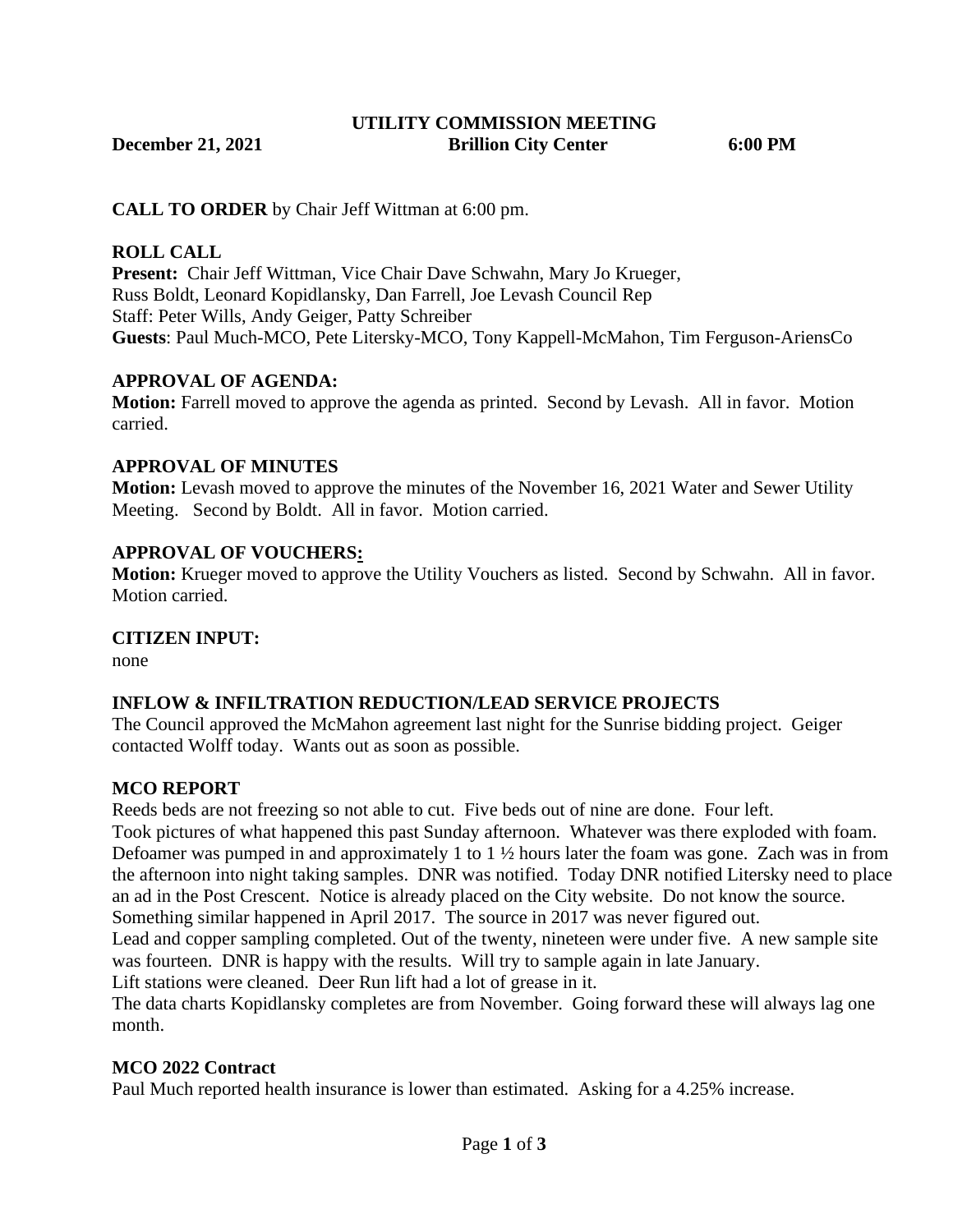**UTILITY COMMISSION MEETING December 21, 2021 Brillion City Center 6:00 PM**

**CALL TO ORDER** by Chair Jeff Wittman at 6:00 pm.

#### **ROLL CALL**

**Present:** Chair Jeff Wittman, Vice Chair Dave Schwahn, Mary Jo Krueger, Russ Boldt, Leonard Kopidlansky, Dan Farrell, Joe Levash Council Rep Staff: Peter Wills, Andy Geiger, Patty Schreiber **Guests**: Paul Much-MCO, Pete Litersky-MCO, Tony Kappell-McMahon, Tim Ferguson-AriensCo

#### **APPROVAL OF AGENDA:**

**Motion:** Farrell moved to approve the agenda as printed. Second by Levash. All in favor. Motion carried.

### **APPROVAL OF MINUTES**

**Motion:** Levash moved to approve the minutes of the November 16, 2021 Water and Sewer Utility Meeting. Second by Boldt. All in favor. Motion carried.

#### **APPROVAL OF VOUCHERS:**

**Motion:** Krueger moved to approve the Utility Vouchers as listed. Second by Schwahn. All in favor. Motion carried.

#### **CITIZEN INPUT:**

none

#### **INFLOW & INFILTRATION REDUCTION/LEAD SERVICE PROJECTS**

The Council approved the McMahon agreement last night for the Sunrise bidding project. Geiger contacted Wolff today. Wants out as soon as possible.

#### **MCO REPORT**

Reeds beds are not freezing so not able to cut. Five beds out of nine are done. Four left.

Took pictures of what happened this past Sunday afternoon. Whatever was there exploded with foam. Defoamer was pumped in and approximately 1 to 1 ½ hours later the foam was gone. Zach was in from the afternoon into night taking samples. DNR was notified. Today DNR notified Litersky need to place an ad in the Post Crescent. Notice is already placed on the City website. Do not know the source. Something similar happened in April 2017. The source in 2017 was never figured out.

Lead and copper sampling completed. Out of the twenty, nineteen were under five. A new sample site was fourteen. DNR is happy with the results. Will try to sample again in late January.

Lift stations were cleaned. Deer Run lift had a lot of grease in it.

The data charts Kopidlansky completes are from November. Going forward these will always lag one month.

#### **MCO 2022 Contract**

Paul Much reported health insurance is lower than estimated. Asking for a 4.25% increase.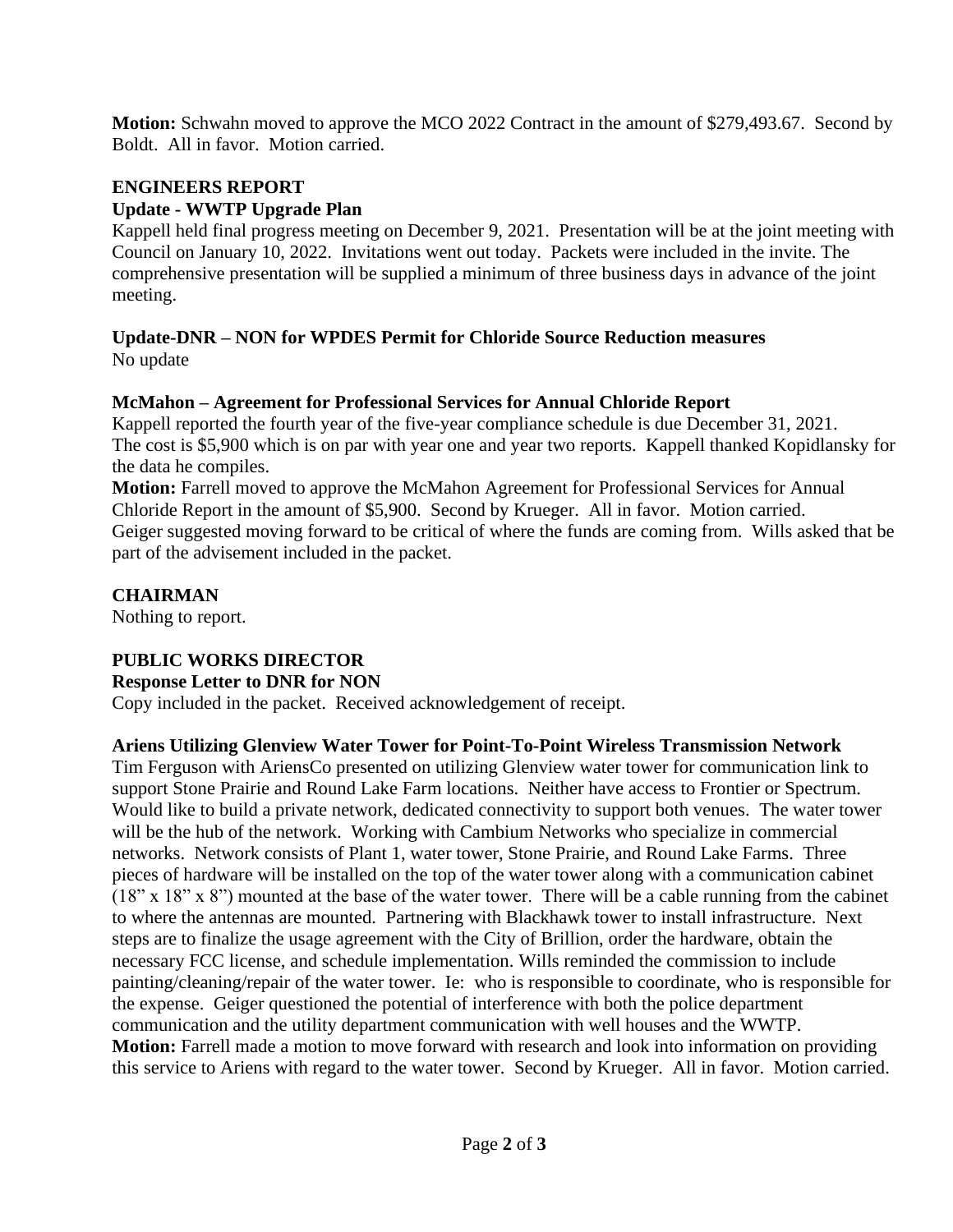**Motion:** Schwahn moved to approve the MCO 2022 Contract in the amount of \$279,493.67. Second by Boldt. All in favor. Motion carried.

### **ENGINEERS REPORT**

### **Update - WWTP Upgrade Plan**

Kappell held final progress meeting on December 9, 2021. Presentation will be at the joint meeting with Council on January 10, 2022. Invitations went out today. Packets were included in the invite. The comprehensive presentation will be supplied a minimum of three business days in advance of the joint meeting.

### **Update-DNR – NON for WPDES Permit for Chloride Source Reduction measures** No update

## **McMahon – Agreement for Professional Services for Annual Chloride Report**

Kappell reported the fourth year of the five-year compliance schedule is due December 31, 2021. The cost is \$5,900 which is on par with year one and year two reports. Kappell thanked Kopidlansky for the data he compiles.

**Motion:** Farrell moved to approve the McMahon Agreement for Professional Services for Annual Chloride Report in the amount of \$5,900. Second by Krueger. All in favor. Motion carried. Geiger suggested moving forward to be critical of where the funds are coming from. Wills asked that be part of the advisement included in the packet.

#### **CHAIRMAN**

Nothing to report.

## **PUBLIC WORKS DIRECTOR**

#### **Response Letter to DNR for NON**

Copy included in the packet. Received acknowledgement of receipt.

## **Ariens Utilizing Glenview Water Tower for Point-To-Point Wireless Transmission Network**

Tim Ferguson with AriensCo presented on utilizing Glenview water tower for communication link to support Stone Prairie and Round Lake Farm locations. Neither have access to Frontier or Spectrum. Would like to build a private network, dedicated connectivity to support both venues. The water tower will be the hub of the network. Working with Cambium Networks who specialize in commercial networks. Network consists of Plant 1, water tower, Stone Prairie, and Round Lake Farms. Three pieces of hardware will be installed on the top of the water tower along with a communication cabinet (18" x 18" x 8") mounted at the base of the water tower. There will be a cable running from the cabinet to where the antennas are mounted. Partnering with Blackhawk tower to install infrastructure. Next steps are to finalize the usage agreement with the City of Brillion, order the hardware, obtain the necessary FCC license, and schedule implementation. Wills reminded the commission to include painting/cleaning/repair of the water tower. Ie: who is responsible to coordinate, who is responsible for the expense. Geiger questioned the potential of interference with both the police department communication and the utility department communication with well houses and the WWTP. **Motion:** Farrell made a motion to move forward with research and look into information on providing this service to Ariens with regard to the water tower. Second by Krueger. All in favor. Motion carried.